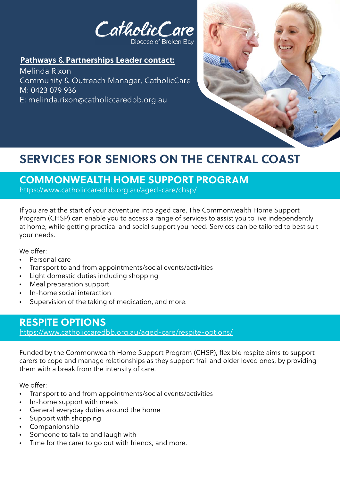

### **Pathways & Partnerships Leader contact:**

Melinda Rixon Community & Outreach Manager, CatholicCare M: 0423 079 936 E: melinda.rixon@catholiccaredbb.org.au



# **SERVICES FOR SENIORS ON THE CENTRAL COAST**

# **COMMONWEALTH HOME SUPPORT PROGRAM**

<https://www.catholiccaredbb.org.au/aged-care/chsp/>

If you are at the start of your adventure into aged care, The Commonwealth Home Support Program (CHSP) can enable you to access a range of services to assist you to live independently at home, while getting practical and social support you need. Services can be tailored to best suit your needs.

We offer:

- Personal care
- Transport to and from appointments/social events/activities
- Light domestic duties including shopping
- Meal preparation support
- In-home social interaction
- Supervision of the taking of medication, and more.

### **RESPITE OPTIONS**

<https://www.catholiccaredbb.org.au/aged-care/respite-options/>

Funded by the Commonwealth Home Support Program (CHSP), flexible respite aims to support carers to cope and manage relationships as they support frail and older loved ones, by providing them with a break from the intensity of care.

We offer:

- Transport to and from appointments/social events/activities
- In-home support with meals
- General everyday duties around the home
- Support with shopping
- Companionship
- Someone to talk to and laugh with
- Time for the carer to go out with friends, and more.